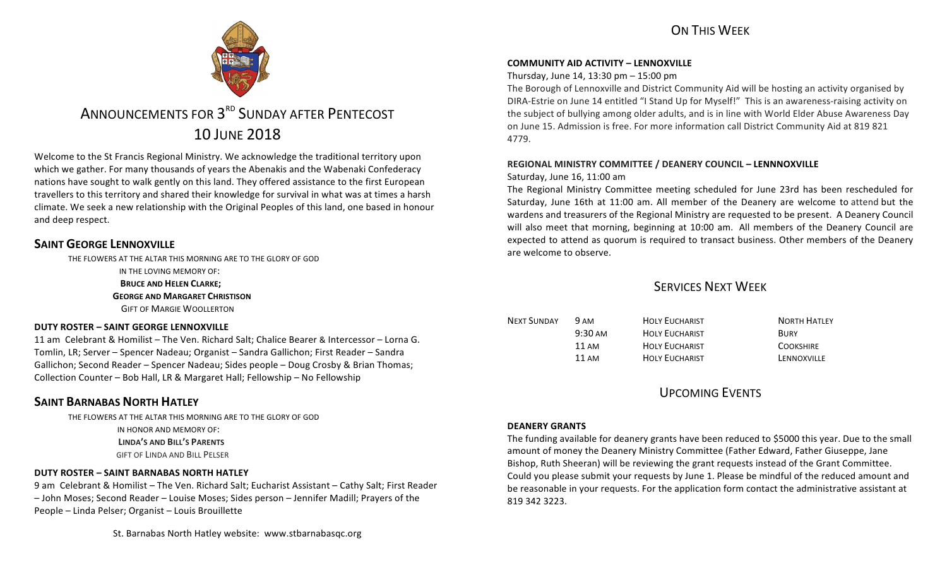

# ANNOUNCEMENTS FOR 3<sup>RD</sup> SUNDAY AFTER PENTECOST 10 JUNE 2018

Welcome to the St Francis Regional Ministry. We acknowledge the traditional territory upon which we gather. For many thousands of years the Abenakis and the Wabenaki Confederacy nations have sought to walk gently on this land. They offered assistance to the first European travellers to this territory and shared their knowledge for survival in what was at times a harsh climate. We seek a new relationship with the Original Peoples of this land, one based in honour and deep respect.

# **SAINT GEORGE LENNOXVILLE**

THE FLOWERS AT THE ALTAR THIS MORNING ARE TO THE GLORY OF GOD IN THE LOVING MEMORY OF: **BRUCE AND HELEN CLARKE; GEORGE AND MARGARET CHRISTISON GIFT OF MARGIE WOOLLERTON** 

### **DUTY ROSTER – SAINT GEORGE LENNOXVILLE**

11 am Celebrant & Homilist – The Ven. Richard Salt; Chalice Bearer & Intercessor – Lorna G. Tomlin, LR; Server – Spencer Nadeau; Organist – Sandra Gallichon; First Reader – Sandra Gallichon; Second Reader – Spencer Nadeau; Sides people – Doug Crosby & Brian Thomas; Collection Counter – Bob Hall, LR & Margaret Hall; Fellowship – No Fellowship

# **SAINT BARNABAS NORTH HATLEY**

THE FLOWERS AT THE ALTAR THIS MORNING ARE TO THE GLORY OF GOD IN HONOR AND MEMORY OF: **LINDA'S AND BILL'S PARENTS GIFT OF LINDA AND BILL PELSER** 

### **DUTY ROSTER – SAINT BARNABAS NORTH HATLEY**

9 am Celebrant & Homilist – The Ven. Richard Salt; Eucharist Assistant – Cathy Salt; First Reader - John Moses; Second Reader - Louise Moses; Sides person - Jennifer Madill; Prayers of the People – Linda Pelser; Organist – Louis Brouillette

St. Barnabas North Hatley website: www.stbarnabasgc.org

### **COMMUNITY AID ACTIVITY – LENNOXVILLE**

### Thursday, June 14, 13:30  $pm - 15:00$   $pm$

The Borough of Lennoxville and District Community Aid will be hosting an activity organised by DIRA-Estrie on June 14 entitled "I Stand Up for Myself!" This is an awareness-raising activity on the subject of bullying among older adults, and is in line with World Elder Abuse Awareness Day on June 15. Admission is free. For more information call District Community Aid at 819 821 4779.

### **REGIONAL MINISTRY COMMITTEE / DEANERY COUNCIL – LENNNOXVILLE**

### Saturday, June 16, 11:00 am

The Regional Ministry Committee meeting scheduled for June 23rd has been rescheduled for Saturday, June 16th at 11:00 am. All member of the Deanery are welcome to attend but the wardens and treasurers of the Regional Ministry are requested to be present. A Deanery Council will also meet that morning, beginning at 10:00 am. All members of the Deanery Council are expected to attend as quorum is required to transact business. Other members of the Deanery are welcome to observe.

# SERVICES NEXT WEEK

| NEXT SUNDAY | 9 AM              | <b>HOLY EUCHARIST</b> | <b>NORTH HATLEY</b> |
|-------------|-------------------|-----------------------|---------------------|
|             | $9:30 \text{ AM}$ | <b>HOLY EUCHARIST</b> | <b>BURY</b>         |
|             | 11 AM             | <b>HOLY EUCHARIST</b> | <b>COOKSHIRE</b>    |
|             | 11 AM             | <b>HOLY EUCHARIST</b> | LENNOXVILLE         |

# UPCOMING EVENTS

### **DEANERY GRANTS**

The funding available for deanery grants have been reduced to \$5000 this year. Due to the small amount of money the Deanery Ministry Committee (Father Edward, Father Giuseppe, Jane Bishop, Ruth Sheeran) will be reviewing the grant requests instead of the Grant Committee. Could you please submit your requests by June 1. Please be mindful of the reduced amount and be reasonable in your requests. For the application form contact the administrative assistant at 819 342 3223.